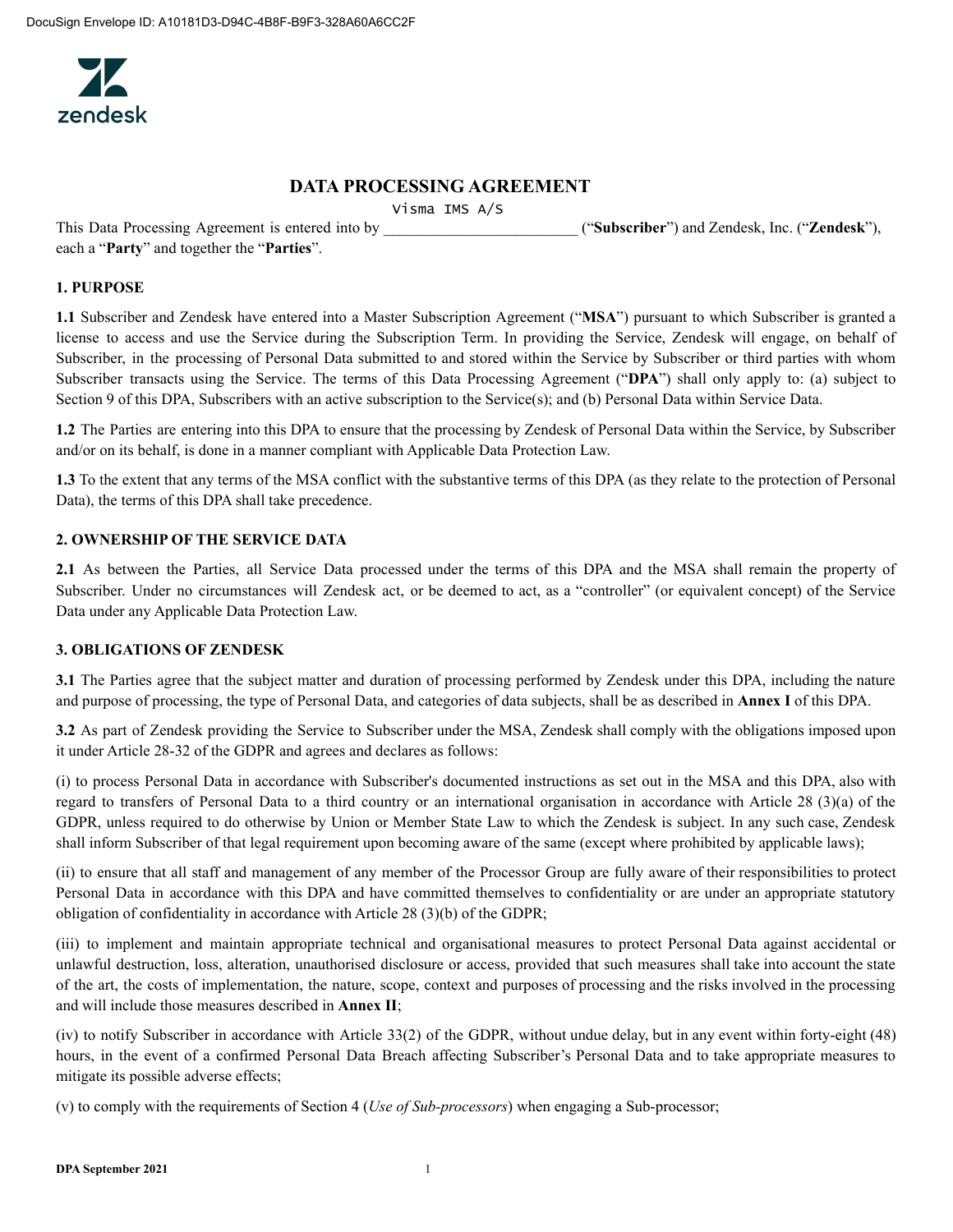

# **DATA PROCESSING AGREEMENT**

Visma IMS A/S

This Data Processing Agreement is entered into by \_\_\_\_\_\_\_\_\_\_\_\_\_\_\_\_\_\_\_\_\_\_\_\_\_ ("**Subscriber**") and Zendesk, Inc. ("**Zendesk**"),

each a "**Party**" and together the "**Parties**".

### **1. PURPOSE**

**1.1** Subscriber and Zendesk have entered into a Master Subscription Agreement ("**MSA**") pursuant to which Subscriber is granted a license to access and use the Service during the Subscription Term. In providing the Service, Zendesk will engage, on behalf of Subscriber, in the processing of Personal Data submitted to and stored within the Service by Subscriber or third parties with whom Subscriber transacts using the Service. The terms of this Data Processing Agreement ("**DPA**") shall only apply to: (a) subject to Section 9 of this DPA, Subscribers with an active subscription to the Service(s); and (b) Personal Data within Service Data.

**1.2** The Parties are entering into this DPA to ensure that the processing by Zendesk of Personal Data within the Service, by Subscriber and/or on its behalf, is done in a manner compliant with Applicable Data Protection Law.

**1.3** To the extent that any terms of the MSA conflict with the substantive terms of this DPA (as they relate to the protection of Personal Data), the terms of this DPA shall take precedence.

# **2. OWNERSHIP OF THE SERVICE DATA**

**2.1** As between the Parties, all Service Data processed under the terms of this DPA and the MSA shall remain the property of Subscriber. Under no circumstances will Zendesk act, or be deemed to act, as a "controller" (or equivalent concept) of the Service Data under any Applicable Data Protection Law.

# **3. OBLIGATIONS OF ZENDESK**

**3.1** The Parties agree that the subject matter and duration of processing performed by Zendesk under this DPA, including the nature and purpose of processing, the type of Personal Data, and categories of data subjects, shall be as described in **Annex I** of this DPA.

**3.2** As part of Zendesk providing the Service to Subscriber under the MSA, Zendesk shall comply with the obligations imposed upon it under Article 28-32 of the GDPR and agrees and declares as follows:

(i) to process Personal Data in accordance with Subscriber's documented instructions as set out in the MSA and this DPA, also with regard to transfers of Personal Data to a third country or an international organisation in accordance with Article 28 (3)(a) of the GDPR, unless required to do otherwise by Union or Member State Law to which the Zendesk is subject. In any such case, Zendesk shall inform Subscriber of that legal requirement upon becoming aware of the same (except where prohibited by applicable laws);

(ii) to ensure that all staff and management of any member of the Processor Group are fully aware of their responsibilities to protect Personal Data in accordance with this DPA and have committed themselves to confidentiality or are under an appropriate statutory obligation of confidentiality in accordance with Article 28 (3)(b) of the GDPR;

(iii) to implement and maintain appropriate technical and organisational measures to protect Personal Data against accidental or unlawful destruction, loss, alteration, unauthorised disclosure or access, provided that such measures shall take into account the state of the art, the costs of implementation, the nature, scope, context and purposes of processing and the risks involved in the processing and will include those measures described in **Annex II**;

(iv) to notify Subscriber in accordance with Article 33(2) of the GDPR, without undue delay, but in any event within forty-eight (48) hours, in the event of a confirmed Personal Data Breach affecting Subscriber's Personal Data and to take appropriate measures to mitigate its possible adverse effects;

(v) to comply with the requirements of Section 4 (*Use of Sub-processors*) when engaging a Sub-processor;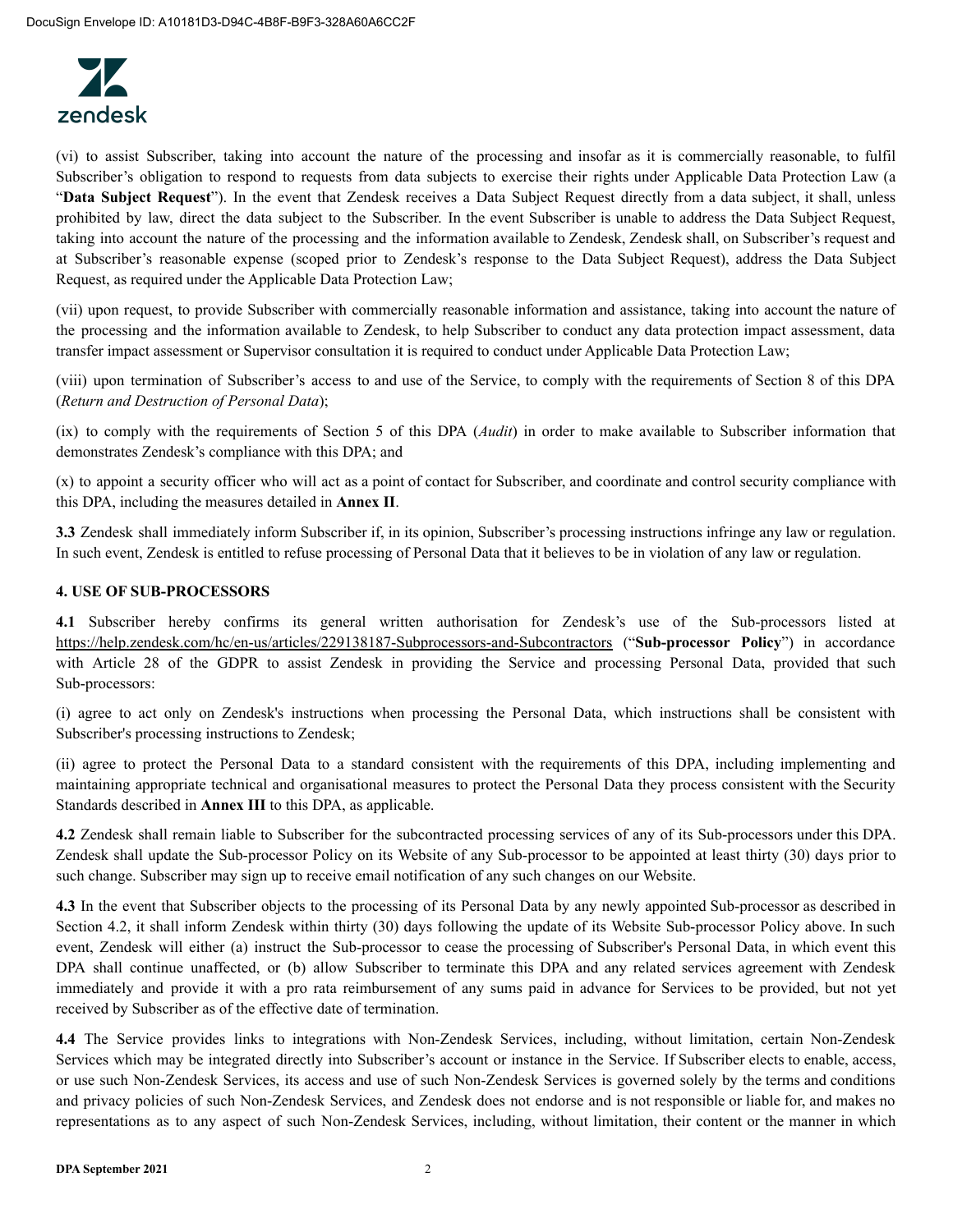

(vi) to assist Subscriber, taking into account the nature of the processing and insofar as it is commercially reasonable, to fulfil Subscriber's obligation to respond to requests from data subjects to exercise their rights under Applicable Data Protection Law (a "**Data Subject Request**"). In the event that Zendesk receives a Data Subject Request directly from a data subject, it shall, unless prohibited by law, direct the data subject to the Subscriber. In the event Subscriber is unable to address the Data Subject Request, taking into account the nature of the processing and the information available to Zendesk, Zendesk shall, on Subscriber's request and at Subscriber's reasonable expense (scoped prior to Zendesk's response to the Data Subject Request), address the Data Subject Request, as required under the Applicable Data Protection Law;

(vii) upon request, to provide Subscriber with commercially reasonable information and assistance, taking into account the nature of the processing and the information available to Zendesk, to help Subscriber to conduct any data protection impact assessment, data transfer impact assessment or Supervisor consultation it is required to conduct under Applicable Data Protection Law;

(viii) upon termination of Subscriber's access to and use of the Service, to comply with the requirements of Section 8 of this DPA (*Return and Destruction of Personal Data*);

(ix) to comply with the requirements of Section 5 of this DPA (*Audit*) in order to make available to Subscriber information that demonstrates Zendesk's compliance with this DPA; and

(x) to appoint a security officer who will act as a point of contact for Subscriber, and coordinate and control security compliance with this DPA, including the measures detailed in **Annex II**.

**3.3** Zendesk shall immediately inform Subscriber if, in its opinion, Subscriber's processing instructions infringe any law or regulation. In such event, Zendesk is entitled to refuse processing of Personal Data that it believes to be in violation of any law or regulation.

# **4. USE OF SUB-PROCESSORS**

**4.1** Subscriber hereby confirms its general written authorisation for Zendesk's use of the Sub-processors listed at https://help.zendesk.com/hc/en-us/articles/229138187-Subprocessors-and-Subcontractors ("**Sub-processor Policy**") in accordance with Article 28 of the GDPR to assist Zendesk in providing the Service and processing Personal Data, provided that such Sub-processors:

(i) agree to act only on Zendesk's instructions when processing the Personal Data, which instructions shall be consistent with Subscriber's processing instructions to Zendesk;

(ii) agree to protect the Personal Data to a standard consistent with the requirements of this DPA, including implementing and maintaining appropriate technical and organisational measures to protect the Personal Data they process consistent with the Security Standards described in **Annex III** to this DPA, as applicable.

**4.2** Zendesk shall remain liable to Subscriber for the subcontracted processing services of any of its Sub-processors under this DPA. Zendesk shall update the Sub-processor Policy on its Website of any Sub-processor to be appointed at least thirty (30) days prior to such change. Subscriber may sign up to receive email notification of any such changes on our Website.

**4.3** In the event that Subscriber objects to the processing of its Personal Data by any newly appointed Sub-processor as described in Section 4.2, it shall inform Zendesk within thirty (30) days following the update of its Website Sub-processor Policy above. In such event, Zendesk will either (a) instruct the Sub-processor to cease the processing of Subscriber's Personal Data, in which event this DPA shall continue unaffected, or (b) allow Subscriber to terminate this DPA and any related services agreement with Zendesk immediately and provide it with a pro rata reimbursement of any sums paid in advance for Services to be provided, but not yet received by Subscriber as of the effective date of termination.

**4.4** The Service provides links to integrations with Non-Zendesk Services, including, without limitation, certain Non-Zendesk Services which may be integrated directly into Subscriber's account or instance in the Service. If Subscriber elects to enable, access, or use such Non-Zendesk Services, its access and use of such Non-Zendesk Services is governed solely by the terms and conditions and privacy policies of such Non-Zendesk Services, and Zendesk does not endorse and is not responsible or liable for, and makes no representations as to any aspect of such Non-Zendesk Services, including, without limitation, their content or the manner in which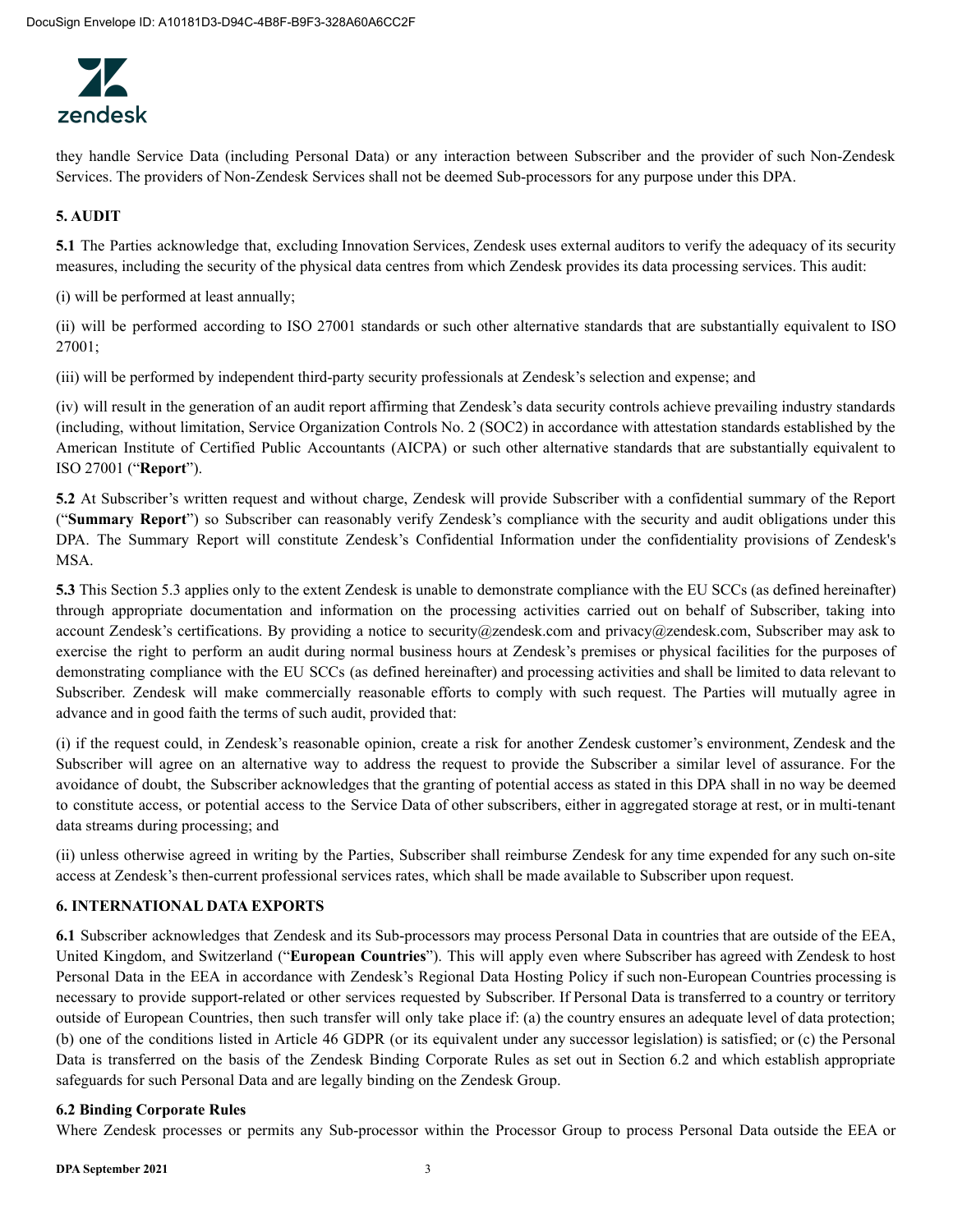

they handle Service Data (including Personal Data) or any interaction between Subscriber and the provider of such Non-Zendesk Services. The providers of Non-Zendesk Services shall not be deemed Sub-processors for any purpose under this DPA.

# **5. AUDIT**

**5.1** The Parties acknowledge that, excluding Innovation Services, Zendesk uses external auditors to verify the adequacy of its security measures, including the security of the physical data centres from which Zendesk provides its data processing services. This audit:

(i) will be performed at least annually;

(ii) will be performed according to ISO 27001 standards or such other alternative standards that are substantially equivalent to ISO 27001;

(iii) will be performed by independent third-party security professionals at Zendesk's selection and expense; and

(iv) will result in the generation of an audit report affirming that Zendesk's data security controls achieve prevailing industry standards (including, without limitation, Service Organization Controls No. 2 (SOC2) in accordance with attestation standards established by the American Institute of Certified Public Accountants (AICPA) or such other alternative standards that are substantially equivalent to ISO 27001 ("**Report**").

**5.2** At Subscriber's written request and without charge, Zendesk will provide Subscriber with a confidential summary of the Report ("**Summary Report**") so Subscriber can reasonably verify Zendesk's compliance with the security and audit obligations under this DPA. The Summary Report will constitute Zendesk's Confidential Information under the confidentiality provisions of Zendesk's MSA.

**5.3** This Section 5.3 applies only to the extent Zendesk is unable to demonstrate compliance with the EU SCCs (as defined hereinafter) through appropriate documentation and information on the processing activities carried out on behalf of Subscriber, taking into account Zendesk's certifications. By providing a notice to security@zendesk.com and privacy@zendesk.com, Subscriber may ask to exercise the right to perform an audit during normal business hours at Zendesk's premises or physical facilities for the purposes of demonstrating compliance with the EU SCCs (as defined hereinafter) and processing activities and shall be limited to data relevant to Subscriber. Zendesk will make commercially reasonable efforts to comply with such request. The Parties will mutually agree in advance and in good faith the terms of such audit, provided that:

(i) if the request could, in Zendesk's reasonable opinion, create a risk for another Zendesk customer's environment, Zendesk and the Subscriber will agree on an alternative way to address the request to provide the Subscriber a similar level of assurance. For the avoidance of doubt, the Subscriber acknowledges that the granting of potential access as stated in this DPA shall in no way be deemed to constitute access, or potential access to the Service Data of other subscribers, either in aggregated storage at rest, or in multi-tenant data streams during processing; and

(ii) unless otherwise agreed in writing by the Parties, Subscriber shall reimburse Zendesk for any time expended for any such on-site access at Zendesk's then-current professional services rates, which shall be made available to Subscriber upon request.

### **6. INTERNATIONAL DATA EXPORTS**

**6.1** Subscriber acknowledges that Zendesk and its Sub-processors may process Personal Data in countries that are outside of the EEA, United Kingdom, and Switzerland ("**European Countries**"). This will apply even where Subscriber has agreed with Zendesk to host Personal Data in the EEA in accordance with Zendesk's Regional Data Hosting Policy if such non-European Countries processing is necessary to provide support-related or other services requested by Subscriber. If Personal Data is transferred to a country or territory outside of European Countries, then such transfer will only take place if: (a) the country ensures an adequate level of data protection; (b) one of the conditions listed in Article 46 GDPR (or its equivalent under any successor legislation) is satisfied; or (c) the Personal Data is transferred on the basis of the Zendesk Binding Corporate Rules as set out in Section 6.2 and which establish appropriate safeguards for such Personal Data and are legally binding on the Zendesk Group.

#### **6.2 Binding Corporate Rules**

Where Zendesk processes or permits any Sub-processor within the Processor Group to process Personal Data outside the EEA or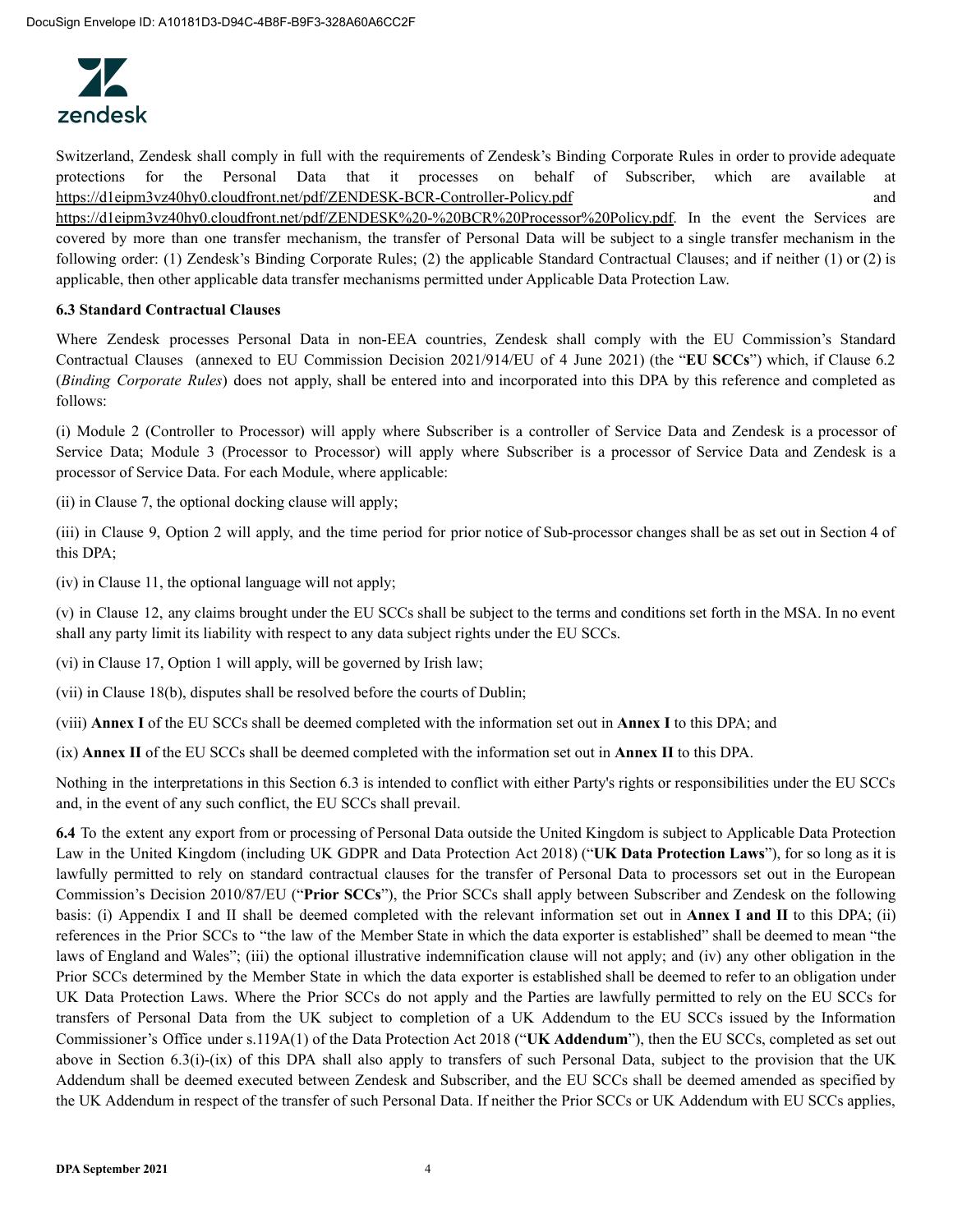

Switzerland, Zendesk shall comply in full with the requirements of Zendesk's Binding Corporate Rules in order to provide adequate protections for the Personal Data that it processes on behalf of Subscriber, which are available at https://d1eipm3vz40hy0.cloudfront.net/pdf/ZENDESK-BCR-Controller-Policy.pdf and https://d1eipm3vz40hy0.cloudfront.net/pdf/ZENDESK%20-%20BCR%20Processor%20Policy.pdf. In the event the Services are covered by more than one transfer mechanism, the transfer of Personal Data will be subject to a single transfer mechanism in the following order: (1) Zendesk's Binding Corporate Rules; (2) the applicable Standard Contractual Clauses; and if neither (1) or (2) is applicable, then other applicable data transfer mechanisms permitted under Applicable Data Protection Law.

# **6.3 Standard Contractual Clauses**

Where Zendesk processes Personal Data in non-EEA countries, Zendesk shall comply with the EU Commission's Standard Contractual Clauses (annexed to EU Commission Decision 2021/914/EU of 4 June 2021) (the "**EU SCCs**") which, if Clause 6.2 (*Binding Corporate Rules*) does not apply, shall be entered into and incorporated into this DPA by this reference and completed as follows:

(i) Module 2 (Controller to Processor) will apply where Subscriber is a controller of Service Data and Zendesk is a processor of Service Data; Module 3 (Processor to Processor) will apply where Subscriber is a processor of Service Data and Zendesk is a processor of Service Data. For each Module, where applicable:

(ii) in Clause 7, the optional docking clause will apply;

(iii) in Clause 9, Option 2 will apply, and the time period for prior notice of Sub-processor changes shall be as set out in Section 4 of this DPA;

(iv) in Clause 11, the optional language will not apply;

(v) in Clause 12, any claims brought under the EU SCCs shall be subject to the terms and conditions set forth in the MSA. In no event shall any party limit its liability with respect to any data subject rights under the EU SCCs.

(vi) in Clause 17, Option 1 will apply, will be governed by Irish law;

(vii) in Clause 18(b), disputes shall be resolved before the courts of Dublin;

(viii) **Annex I** of the EU SCCs shall be deemed completed with the information set out in **Annex I** to this DPA; and

(ix) **Annex II** of the EU SCCs shall be deemed completed with the information set out in **Annex II** to this DPA.

Nothing in the interpretations in this Section 6.3 is intended to conflict with either Party's rights or responsibilities under the EU SCCs and, in the event of any such conflict, the EU SCCs shall prevail.

**6.4** To the extent any export from or processing of Personal Data outside the United Kingdom is subject to Applicable Data Protection Law in the United Kingdom (including UK GDPR and Data Protection Act 2018) ("**UK Data Protection Laws**"), for so long as it is lawfully permitted to rely on standard contractual clauses for the transfer of Personal Data to processors set out in the European Commission's Decision 2010/87/EU ("**Prior SCCs**"), the Prior SCCs shall apply between Subscriber and Zendesk on the following basis: (i) Appendix I and II shall be deemed completed with the relevant information set out in **Annex I and II** to this DPA; (ii) references in the Prior SCCs to "the law of the Member State in which the data exporter is established" shall be deemed to mean "the laws of England and Wales"; (iii) the optional illustrative indemnification clause will not apply; and (iv) any other obligation in the Prior SCCs determined by the Member State in which the data exporter is established shall be deemed to refer to an obligation under UK Data Protection Laws. Where the Prior SCCs do not apply and the Parties are lawfully permitted to rely on the EU SCCs for transfers of Personal Data from the UK subject to completion of a UK Addendum to the EU SCCs issued by the Information Commissioner's Office under s.119A(1) of the Data Protection Act 2018 ("**UK Addendum**"), then the EU SCCs, completed as set out above in Section 6.3(i)-(ix) of this DPA shall also apply to transfers of such Personal Data, subject to the provision that the UK Addendum shall be deemed executed between Zendesk and Subscriber, and the EU SCCs shall be deemed amended as specified by the UK Addendum in respect of the transfer of such Personal Data. If neither the Prior SCCs or UK Addendum with EU SCCs applies,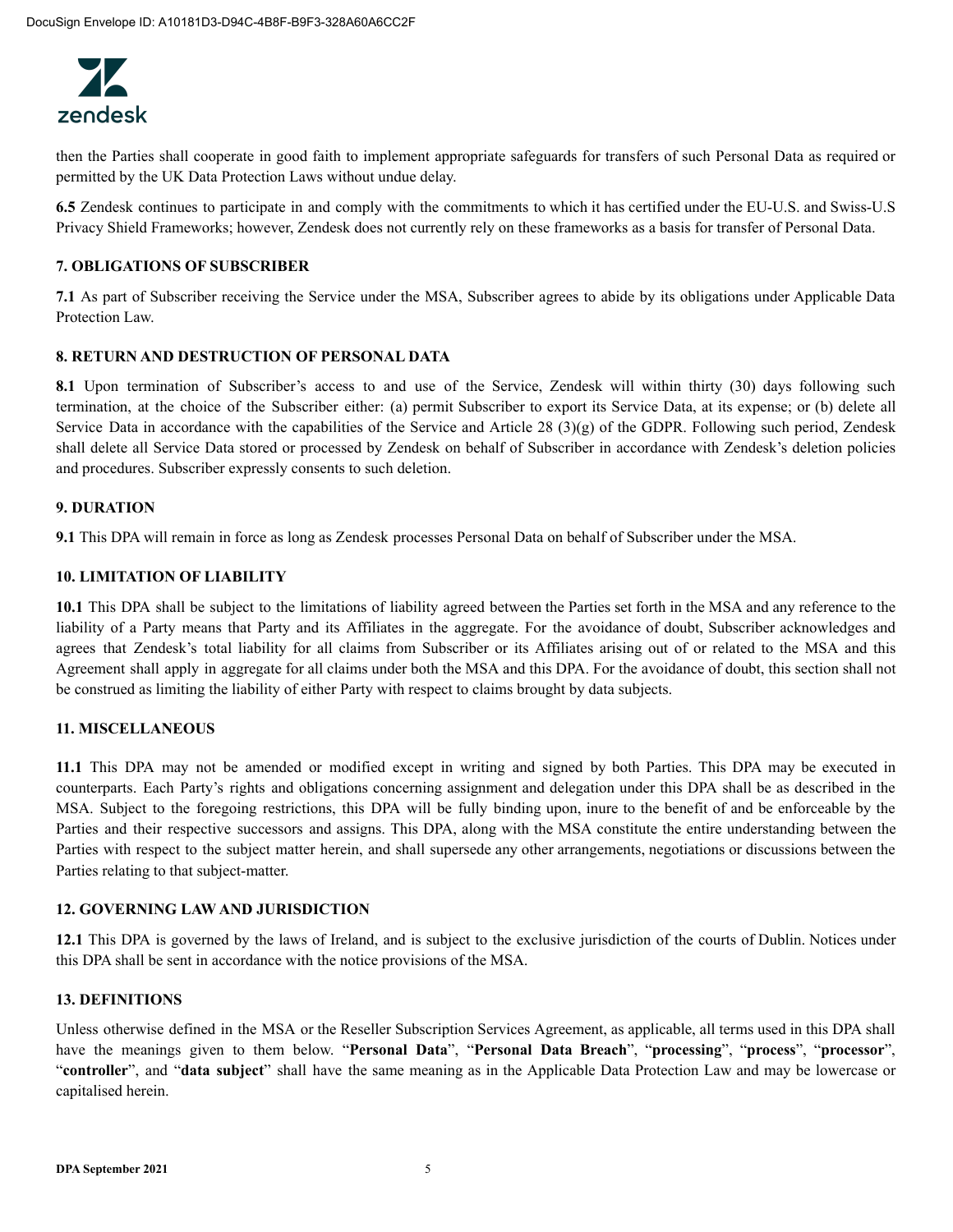

then the Parties shall cooperate in good faith to implement appropriate safeguards for transfers of such Personal Data as required or permitted by the UK Data Protection Laws without undue delay.

**6.5** Zendesk continues to participate in and comply with the commitments to which it has certified under the EU-U.S. and Swiss-U.S Privacy Shield Frameworks; however, Zendesk does not currently rely on these frameworks as a basis for transfer of Personal Data.

#### **7. OBLIGATIONS OF SUBSCRIBER**

**7.1** As part of Subscriber receiving the Service under the MSA, Subscriber agrees to abide by its obligations under Applicable Data Protection Law.

#### **8. RETURN AND DESTRUCTION OF PERSONAL DATA**

8.1 Upon termination of Subscriber's access to and use of the Service, Zendesk will within thirty (30) days following such termination, at the choice of the Subscriber either: (a) permit Subscriber to export its Service Data, at its expense; or (b) delete all Service Data in accordance with the capabilities of the Service and Article 28 (3)(g) of the GDPR. Following such period, Zendesk shall delete all Service Data stored or processed by Zendesk on behalf of Subscriber in accordance with Zendesk's deletion policies and procedures. Subscriber expressly consents to such deletion.

#### **9. DURATION**

**9.1** This DPA will remain in force as long as Zendesk processes Personal Data on behalf of Subscriber under the MSA.

#### **10. LIMITATION OF LIABILITY**

**10.1** This DPA shall be subject to the limitations of liability agreed between the Parties set forth in the MSA and any reference to the liability of a Party means that Party and its Affiliates in the aggregate. For the avoidance of doubt, Subscriber acknowledges and agrees that Zendesk's total liability for all claims from Subscriber or its Affiliates arising out of or related to the MSA and this Agreement shall apply in aggregate for all claims under both the MSA and this DPA. For the avoidance of doubt, this section shall not be construed as limiting the liability of either Party with respect to claims brought by data subjects.

#### **11. MISCELLANEOUS**

**11.1** This DPA may not be amended or modified except in writing and signed by both Parties. This DPA may be executed in counterparts. Each Party's rights and obligations concerning assignment and delegation under this DPA shall be as described in the MSA. Subject to the foregoing restrictions, this DPA will be fully binding upon, inure to the benefit of and be enforceable by the Parties and their respective successors and assigns. This DPA, along with the MSA constitute the entire understanding between the Parties with respect to the subject matter herein, and shall supersede any other arrangements, negotiations or discussions between the Parties relating to that subject-matter.

#### **12. GOVERNING LAW AND JURISDICTION**

**12.1** This DPA is governed by the laws of Ireland, and is subject to the exclusive jurisdiction of the courts of Dublin. Notices under this DPA shall be sent in accordance with the notice provisions of the MSA.

#### **13. DEFINITIONS**

Unless otherwise defined in the MSA or the Reseller Subscription Services Agreement, as applicable, all terms used in this DPA shall have the meanings given to them below. "**Personal Data**", "**Personal Data Breach**", "**processing**", "**process**", "**processor**", "**controller**", and "**data subject**" shall have the same meaning as in the Applicable Data Protection Law and may be lowercase or capitalised herein.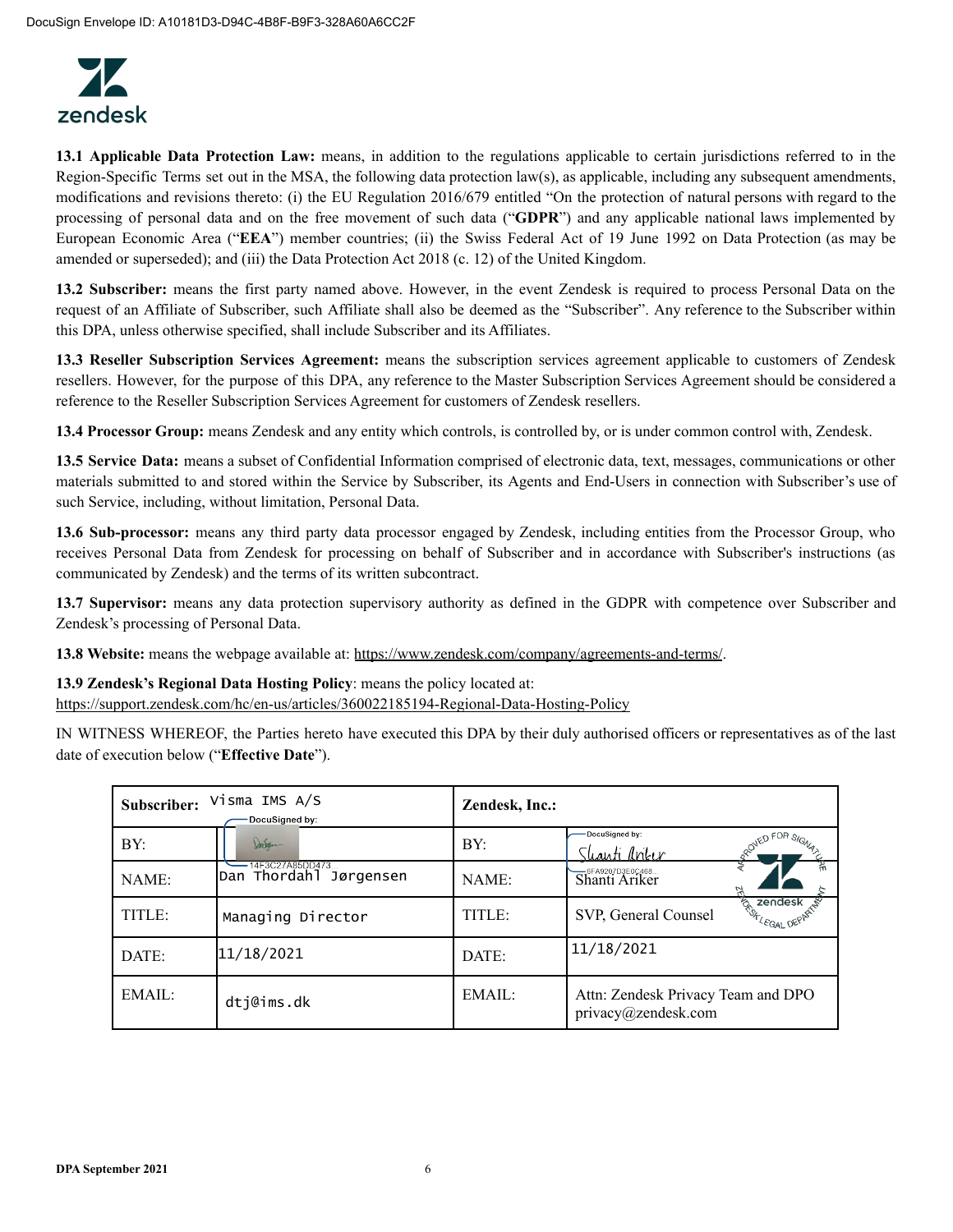

**13.1 Applicable Data Protection Law:** means, in addition to the regulations applicable to certain jurisdictions referred to in the Region-Specific Terms set out in the MSA, the following data protection law(s), as applicable, including any subsequent amendments, modifications and revisions thereto: (i) the EU Regulation 2016/679 entitled "On the protection of natural persons with regard to the processing of personal data and on the free movement of such data ("**GDPR**") and any applicable national laws implemented by European Economic Area ("**EEA**") member countries; (ii) the Swiss Federal Act of 19 June 1992 on Data Protection (as may be amended or superseded); and (iii) the Data Protection Act 2018 (c. 12) of the United Kingdom.

**13.2 Subscriber:** means the first party named above. However, in the event Zendesk is required to process Personal Data on the request of an Affiliate of Subscriber, such Affiliate shall also be deemed as the "Subscriber". Any reference to the Subscriber within this DPA, unless otherwise specified, shall include Subscriber and its Affiliates.

**13.3 Reseller Subscription Services Agreement:** means the subscription services agreement applicable to customers of Zendesk resellers. However, for the purpose of this DPA, any reference to the Master Subscription Services Agreement should be considered a reference to the Reseller Subscription Services Agreement for customers of Zendesk resellers.

**13.4 Processor Group:** means Zendesk and any entity which controls, is controlled by, or is under common control with, Zendesk.

**13.5 Service Data:** means a subset of Confidential Information comprised of electronic data, text, messages, communications or other materials submitted to and stored within the Service by Subscriber, its Agents and End-Users in connection with Subscriber's use of such Service, including, without limitation, Personal Data.

**13.6 Sub-processor:** means any third party data processor engaged by Zendesk, including entities from the Processor Group, who receives Personal Data from Zendesk for processing on behalf of Subscriber and in accordance with Subscriber's instructions (as communicated by Zendesk) and the terms of its written subcontract.

**13.7 Supervisor:** means any data protection supervisory authority as defined in the GDPR with competence over Subscriber and Zendesk's processing of Personal Data.

**13.8 Website:** means the webpage available at: https://www.zendesk.com/company/agreements-and-terms/.

**13.9 Zendesk's Regional Data Hosting Policy**: means the policy located at: https://support.zendesk.com/hc/en-us/articles/360022185194-Regional-Data-Hosting-Policy

IN WITNESS WHEREOF, the Parties hereto have executed this DPA by their duly authorised officers or representatives as of the last date of execution below ("**Effective Date**").

| Subscriber: | Visma IMS A/S<br>DocuSigned by:           | Zendesk, Inc.: |                                                           |
|-------------|-------------------------------------------|----------------|-----------------------------------------------------------|
| BY:         | Dorogan                                   | BY:            | DocuSigned by:<br>ROVED FOR SIGNAL<br><u>Shanti Ankır</u> |
| NAME:       | 14F3C27A85DD473<br>Dan Thordahl Jørgensen | NAME:          | Shanti Ariker                                             |
| TITLE:      | Managing Director                         | TITLE:         | zendesk<br><b>ERITLEGAL</b><br>SVP, General Counsel       |
| DATE:       | 11/18/2021                                | DATE:          | 11/18/2021                                                |
| EMAIL:      | dtj@ims.dk                                | EMAIL:         | Attn: Zendesk Privacy Team and DPO<br>privacy@zendesk.com |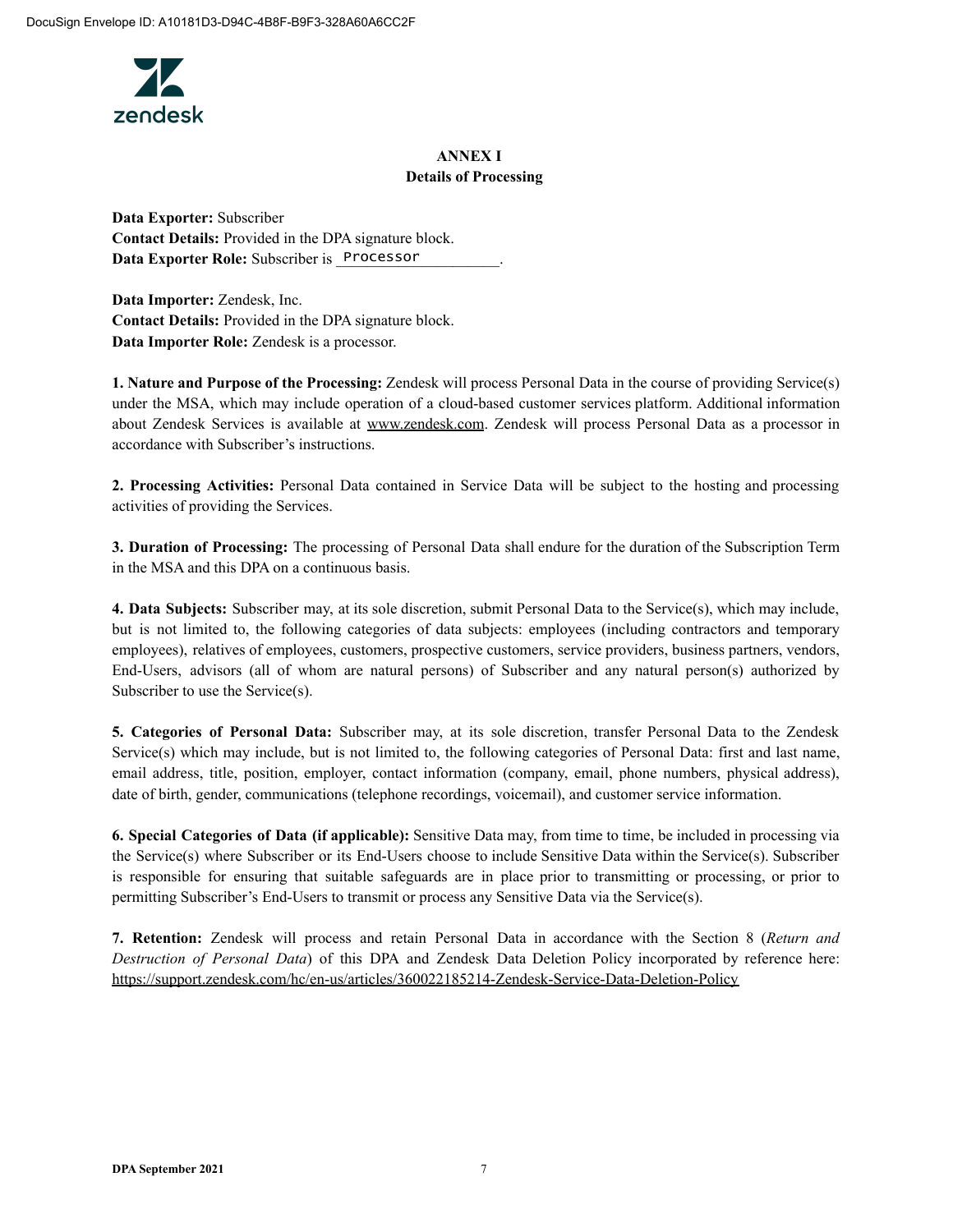

# **ANNEX I Details of Processing**

**Data Exporter:** Subscriber **Contact Details:** Provided in the DPA signature block. Data Exporter Role: Subscriber is Processor

**Data Importer:** Zendesk, Inc. **Contact Details:** Provided in the DPA signature block. **Data Importer Role:** Zendesk is a processor.

**1. Nature and Purpose of the Processing:** Zendesk will process Personal Data in the course of providing Service(s) under the MSA, which may include operation of a cloud-based customer services platform. Additional information about Zendesk Services is available at www.zendesk.com. Zendesk will process Personal Data as a processor in accordance with Subscriber's instructions.

**2. Processing Activities:** Personal Data contained in Service Data will be subject to the hosting and processing activities of providing the Services.

**3. Duration of Processing:** The processing of Personal Data shall endure for the duration of the Subscription Term in the MSA and this DPA on a continuous basis.

**4. Data Subjects:** Subscriber may, at its sole discretion, submit Personal Data to the Service(s), which may include, but is not limited to, the following categories of data subjects: employees (including contractors and temporary employees), relatives of employees, customers, prospective customers, service providers, business partners, vendors, End-Users, advisors (all of whom are natural persons) of Subscriber and any natural person(s) authorized by Subscriber to use the Service(s).

**5. Categories of Personal Data:** Subscriber may, at its sole discretion, transfer Personal Data to the Zendesk Service(s) which may include, but is not limited to, the following categories of Personal Data: first and last name, email address, title, position, employer, contact information (company, email, phone numbers, physical address), date of birth, gender, communications (telephone recordings, voicemail), and customer service information.

**6. Special Categories of Data (if applicable):** Sensitive Data may, from time to time, be included in processing via the Service(s) where Subscriber or its End-Users choose to include Sensitive Data within the Service(s). Subscriber is responsible for ensuring that suitable safeguards are in place prior to transmitting or processing, or prior to permitting Subscriber's End-Users to transmit or process any Sensitive Data via the Service(s).

**7. Retention:** Zendesk will process and retain Personal Data in accordance with the Section 8 (*Return and Destruction of Personal Data*) of this DPA and Zendesk Data Deletion Policy incorporated by reference here: https://support.zendesk.com/hc/en-us/articles/360022185214-Zendesk-Service-Data-Deletion-Policy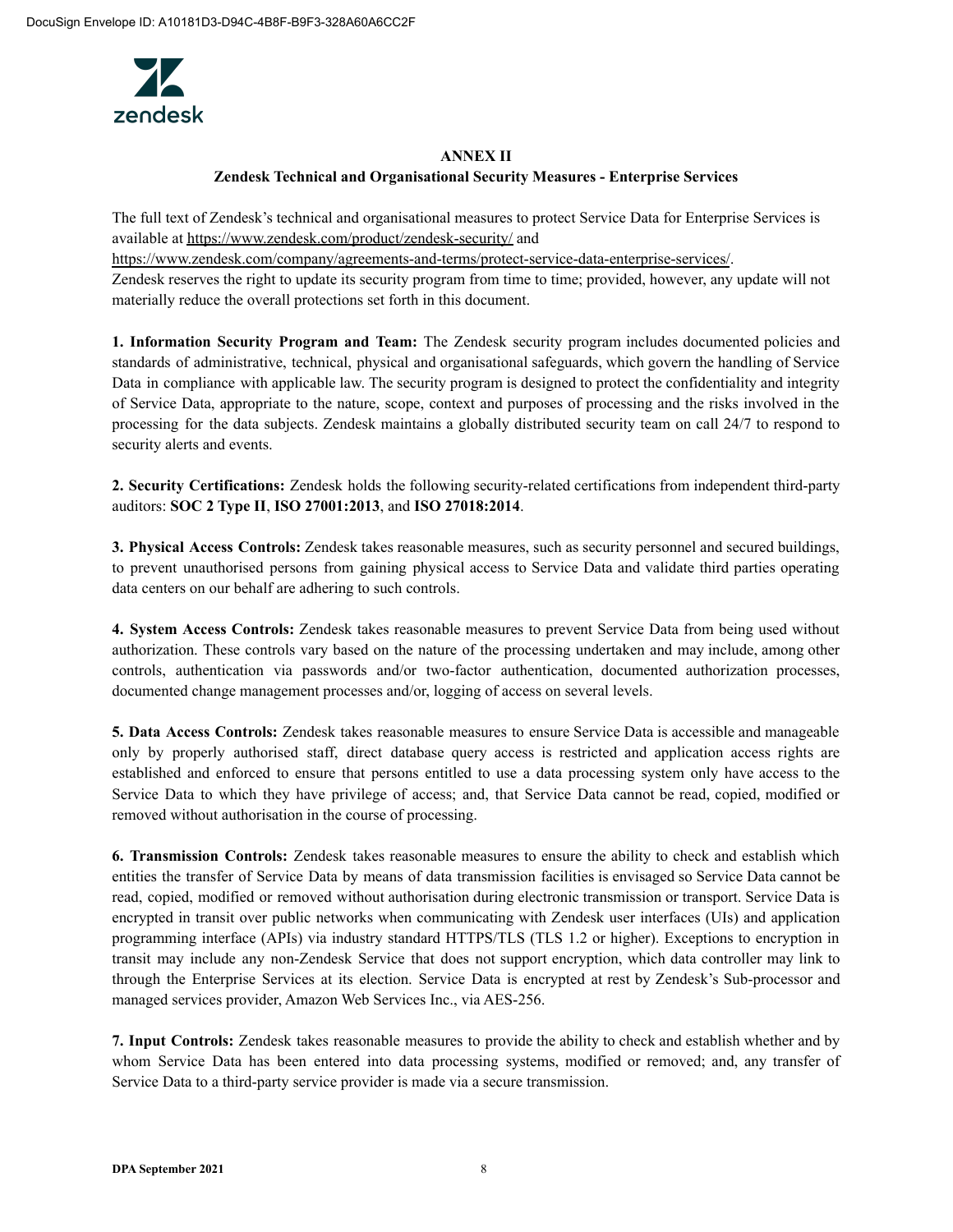

### **ANNEX II**

### **Zendesk Technical and Organisational Security Measures - Enterprise Services**

The full text of Zendesk's technical and organisational measures to protect Service Data for Enterprise Services is available at https://www.zendesk.com/product/zendesk-security/ and

https://www.zendesk.com/company/agreements-and-terms/protect-service-data-enterprise-services/. Zendesk reserves the right to update its security program from time to time; provided, however, any update will not materially reduce the overall protections set forth in this document.

**1. Information Security Program and Team:** The Zendesk security program includes documented policies and standards of administrative, technical, physical and organisational safeguards, which govern the handling of Service Data in compliance with applicable law. The security program is designed to protect the confidentiality and integrity of Service Data, appropriate to the nature, scope, context and purposes of processing and the risks involved in the processing for the data subjects. Zendesk maintains a globally distributed security team on call 24/7 to respond to security alerts and events.

**2. Security Certifications:** Zendesk holds the following security-related certifications from independent third-party auditors: **SOC 2 Type II**, **ISO 27001:2013**, and **ISO 27018:2014**.

**3. Physical Access Controls:** Zendesk takes reasonable measures, such as security personnel and secured buildings, to prevent unauthorised persons from gaining physical access to Service Data and validate third parties operating data centers on our behalf are adhering to such controls.

**4. System Access Controls:** Zendesk takes reasonable measures to prevent Service Data from being used without authorization. These controls vary based on the nature of the processing undertaken and may include, among other controls, authentication via passwords and/or two-factor authentication, documented authorization processes, documented change management processes and/or, logging of access on several levels.

**5. Data Access Controls:** Zendesk takes reasonable measures to ensure Service Data is accessible and manageable only by properly authorised staff, direct database query access is restricted and application access rights are established and enforced to ensure that persons entitled to use a data processing system only have access to the Service Data to which they have privilege of access; and, that Service Data cannot be read, copied, modified or removed without authorisation in the course of processing.

**6. Transmission Controls:** Zendesk takes reasonable measures to ensure the ability to check and establish which entities the transfer of Service Data by means of data transmission facilities is envisaged so Service Data cannot be read, copied, modified or removed without authorisation during electronic transmission or transport. Service Data is encrypted in transit over public networks when communicating with Zendesk user interfaces (UIs) and application programming interface (APIs) via industry standard HTTPS/TLS (TLS 1.2 or higher). Exceptions to encryption in transit may include any non-Zendesk Service that does not support encryption, which data controller may link to through the Enterprise Services at its election. Service Data is encrypted at rest by Zendesk's Sub-processor and managed services provider, Amazon Web Services Inc., via AES-256.

**7. Input Controls:** Zendesk takes reasonable measures to provide the ability to check and establish whether and by whom Service Data has been entered into data processing systems, modified or removed; and, any transfer of Service Data to a third-party service provider is made via a secure transmission.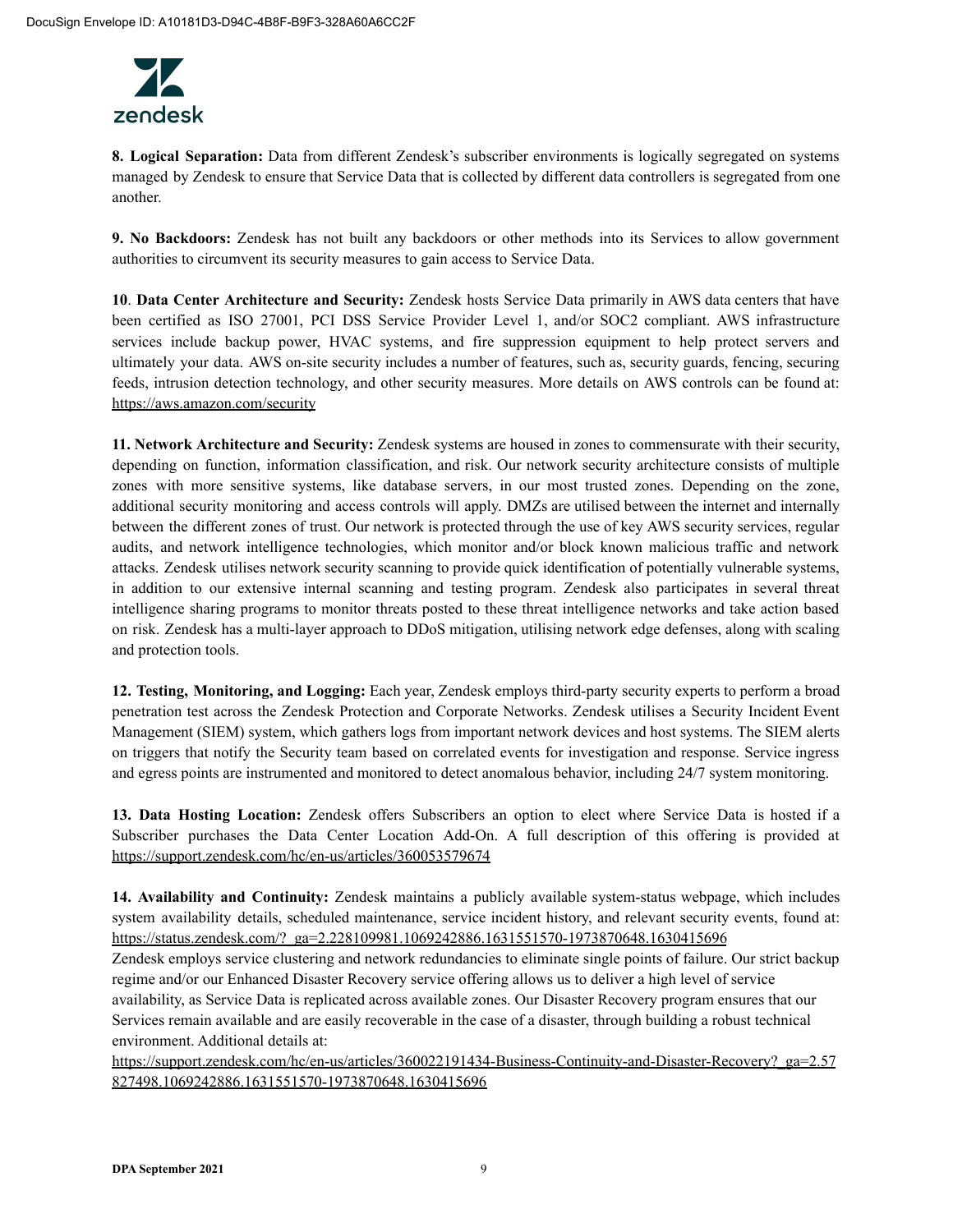

**8. Logical Separation:** Data from different Zendesk's subscriber environments is logically segregated on systems managed by Zendesk to ensure that Service Data that is collected by different data controllers is segregated from one another.

**9. No Backdoors:** Zendesk has not built any backdoors or other methods into its Services to allow government authorities to circumvent its security measures to gain access to Service Data.

**10**. **Data Center Architecture and Security:** Zendesk hosts Service Data primarily in AWS data centers that have been certified as ISO 27001, PCI DSS Service Provider Level 1, and/or SOC2 compliant. AWS infrastructure services include backup power, HVAC systems, and fire suppression equipment to help protect servers and ultimately your data. AWS on-site security includes a number of features, such as, security guards, fencing, securing feeds, intrusion detection technology, and other security measures. More details on AWS controls can be found at: https://aws.amazon.com/security

**11. Network Architecture and Security:** Zendesk systems are housed in zones to commensurate with their security, depending on function, information classification, and risk. Our network security architecture consists of multiple zones with more sensitive systems, like database servers, in our most trusted zones. Depending on the zone, additional security monitoring and access controls will apply. DMZs are utilised between the internet and internally between the different zones of trust. Our network is protected through the use of key AWS security services, regular audits, and network intelligence technologies, which monitor and/or block known malicious traffic and network attacks. Zendesk utilises network security scanning to provide quick identification of potentially vulnerable systems, in addition to our extensive internal scanning and testing program. Zendesk also participates in several threat intelligence sharing programs to monitor threats posted to these threat intelligence networks and take action based on risk. Zendesk has a multi-layer approach to DDoS mitigation, utilising network edge defenses, along with scaling and protection tools.

**12. Testing, Monitoring, and Logging:** Each year, Zendesk employs third-party security experts to perform a broad penetration test across the Zendesk Protection and Corporate Networks. Zendesk utilises a Security Incident Event Management (SIEM) system, which gathers logs from important network devices and host systems. The SIEM alerts on triggers that notify the Security team based on correlated events for investigation and response. Service ingress and egress points are instrumented and monitored to detect anomalous behavior, including 24/7 system monitoring.

**13. Data Hosting Location:** Zendesk offers Subscribers an option to elect where Service Data is hosted if a Subscriber purchases the Data Center Location Add-On. A full description of this offering is provided at https://support.zendesk.com/hc/en-us/articles/360053579674

**14. Availability and Continuity:** Zendesk maintains a publicly available system-status webpage, which includes system availability details, scheduled maintenance, service incident history, and relevant security events, found at: https://status.zendesk.com/?\_ga=2.228109981.1069242886.1631551570-1973870648.1630415696

Zendesk employs service clustering and network redundancies to eliminate single points of failure. Our strict backup regime and/or our Enhanced Disaster Recovery service offering allows us to deliver a high level of service availability, as Service Data is replicated across available zones. Our Disaster Recovery program ensures that our Services remain available and are easily recoverable in the case of a disaster, through building a robust technical environment. Additional details at:

https://support.zendesk.com/hc/en-us/articles/360022191434-Business-Continuity-and-Disaster-Recovery?\_ga=2.57 827498.1069242886.1631551570-1973870648.1630415696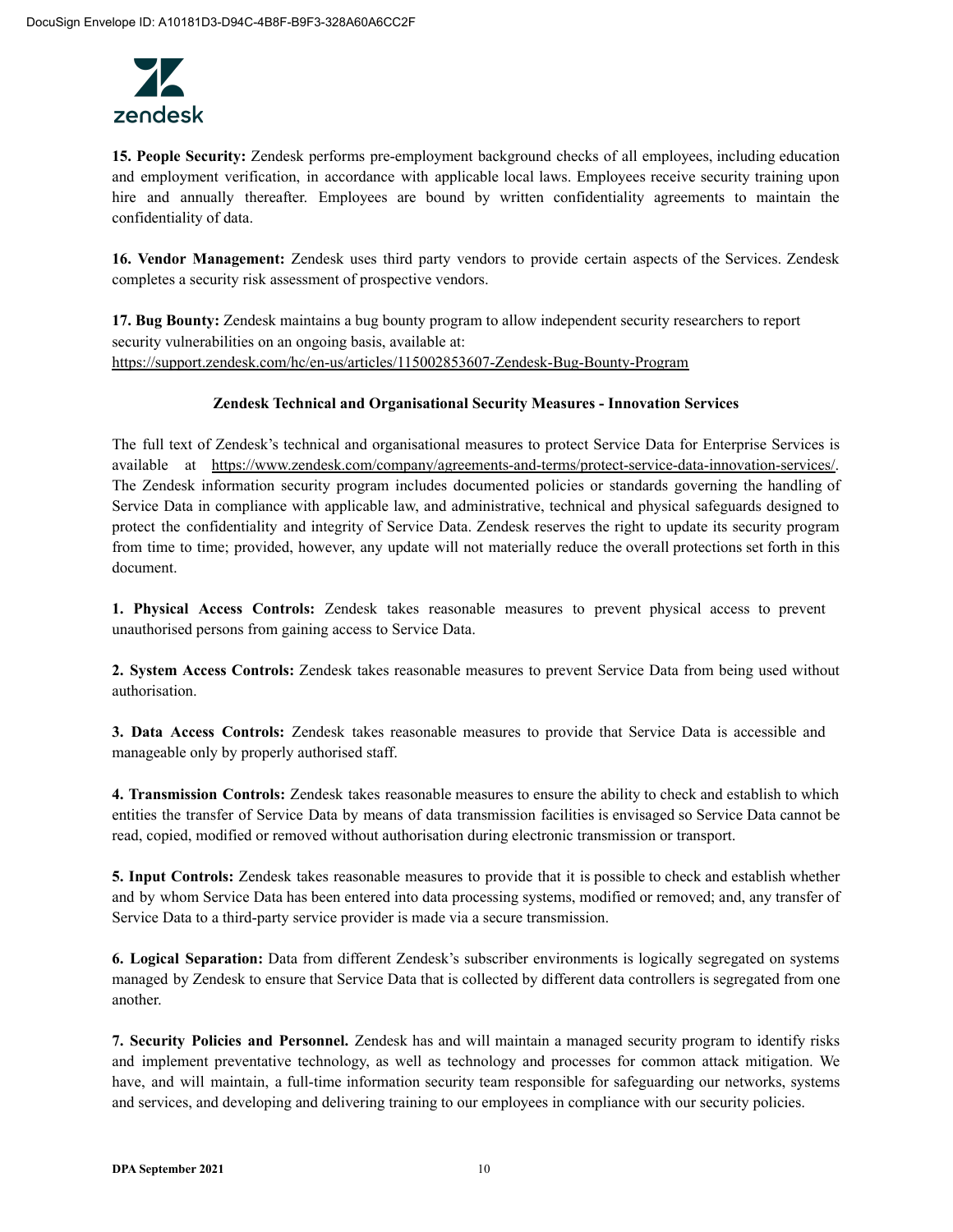

**15. People Security:** Zendesk performs pre-employment background checks of all employees, including education and employment verification, in accordance with applicable local laws. Employees receive security training upon hire and annually thereafter. Employees are bound by written confidentiality agreements to maintain the confidentiality of data.

**16. Vendor Management:** Zendesk uses third party vendors to provide certain aspects of the Services. Zendesk completes a security risk assessment of prospective vendors.

**17. Bug Bounty:** Zendesk maintains a bug bounty program to allow independent security researchers to report security vulnerabilities on an ongoing basis, available at: https://support.zendesk.com/hc/en-us/articles/115002853607-Zendesk-Bug-Bounty-Program

### **Zendesk Technical and Organisational Security Measures - Innovation Services**

The full text of Zendesk's technical and organisational measures to protect Service Data for Enterprise Services is available at https://www.zendesk.com/company/agreements-and-terms/protect-service-data-innovation-services/. The Zendesk information security program includes documented policies or standards governing the handling of Service Data in compliance with applicable law, and administrative, technical and physical safeguards designed to protect the confidentiality and integrity of Service Data. Zendesk reserves the right to update its security program from time to time; provided, however, any update will not materially reduce the overall protections set forth in this document.

**1. Physical Access Controls:** Zendesk takes reasonable measures to prevent physical access to prevent unauthorised persons from gaining access to Service Data.

**2. System Access Controls:** Zendesk takes reasonable measures to prevent Service Data from being used without authorisation.

**3. Data Access Controls:** Zendesk takes reasonable measures to provide that Service Data is accessible and manageable only by properly authorised staff.

**4. Transmission Controls:** Zendesk takes reasonable measures to ensure the ability to check and establish to which entities the transfer of Service Data by means of data transmission facilities is envisaged so Service Data cannot be read, copied, modified or removed without authorisation during electronic transmission or transport.

**5. Input Controls:** Zendesk takes reasonable measures to provide that it is possible to check and establish whether and by whom Service Data has been entered into data processing systems, modified or removed; and, any transfer of Service Data to a third-party service provider is made via a secure transmission.

**6. Logical Separation:** Data from different Zendesk's subscriber environments is logically segregated on systems managed by Zendesk to ensure that Service Data that is collected by different data controllers is segregated from one another.

**7. Security Policies and Personnel.** Zendesk has and will maintain a managed security program to identify risks and implement preventative technology, as well as technology and processes for common attack mitigation. We have, and will maintain, a full-time information security team responsible for safeguarding our networks, systems and services, and developing and delivering training to our employees in compliance with our security policies.